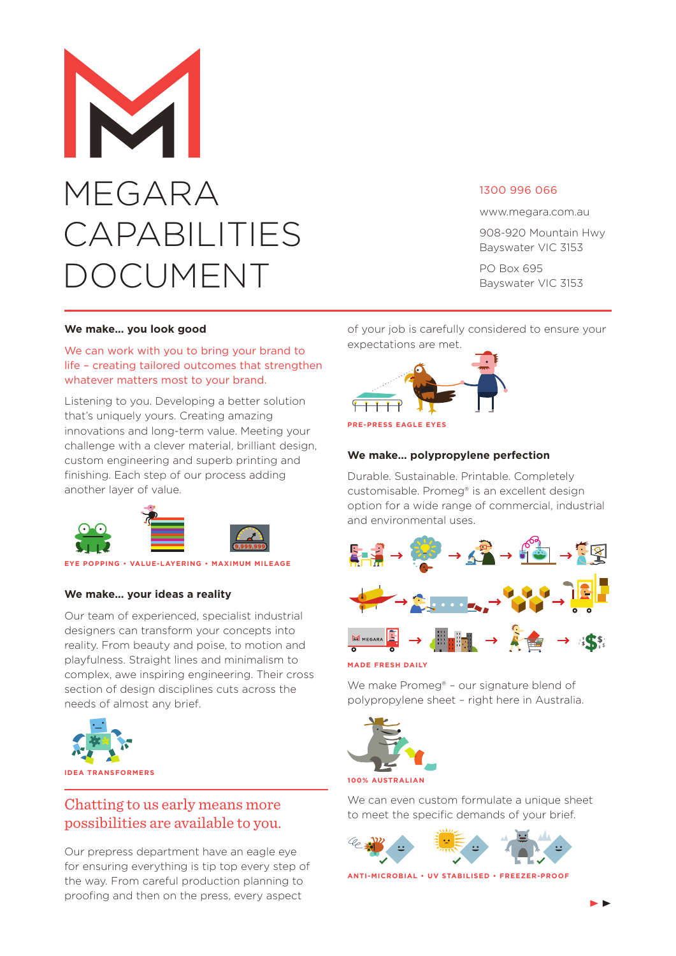# MEGARA CAPABILITIES **DCUMENT**

## 1300 996 066

www.megara.com.au

908-920 Mountain Hwy Bayswater VIC 3153

PO Box 695 Bayswater VIC 3153

#### **We make… you look good**

We can work with you to bring your brand to life – creating tailored outcomes that strengthen whatever matters most to your brand.

Listening to you. Developing a better solution that's uniquely yours. Creating amazing innovations and long-term value. Meeting your challenge with a clever material, brilliant design, custom engineering and superb printing and finishing. Each step of our process adding another layer of value.



#### **EYE POPPING • VALUE-LAYERING • MAXIMUM MILEAGE**

## **We make… your ideas a reality**

Our team of experienced, specialist industrial designers can transform your concepts into reality. From beauty and poise, to motion and playfulness. Straight lines and minimalism to complex, awe inspiring engineering. Their cross section of design disciplines cuts across the needs of almost any brief.



# Chatting to us early means more possibilities are available to you.

Our prepress department have an eagle eye for ensuring everything is tip top every step of the way. From careful production planning to proofing and then on the press, every aspect

of your job is carefully considered to ensure your expectations are met.



#### **We make… polypropylene perfection**

Durable. Sustainable. Printable. Completely customisable. Promeg® is an excellent design option for a wide range of commercial, industrial and environmental uses.



**MADE FRESH DAILY**

We make Promeg® - our signature blend of polypropylene sheet – right here in Australia.



**100% AUSTRALIAN**

We can even custom formulate a unique sheet to meet the specific demands of your brief.



**ANTI-MICROBIAL • UV STABILISED • FREEZER-PROOF**